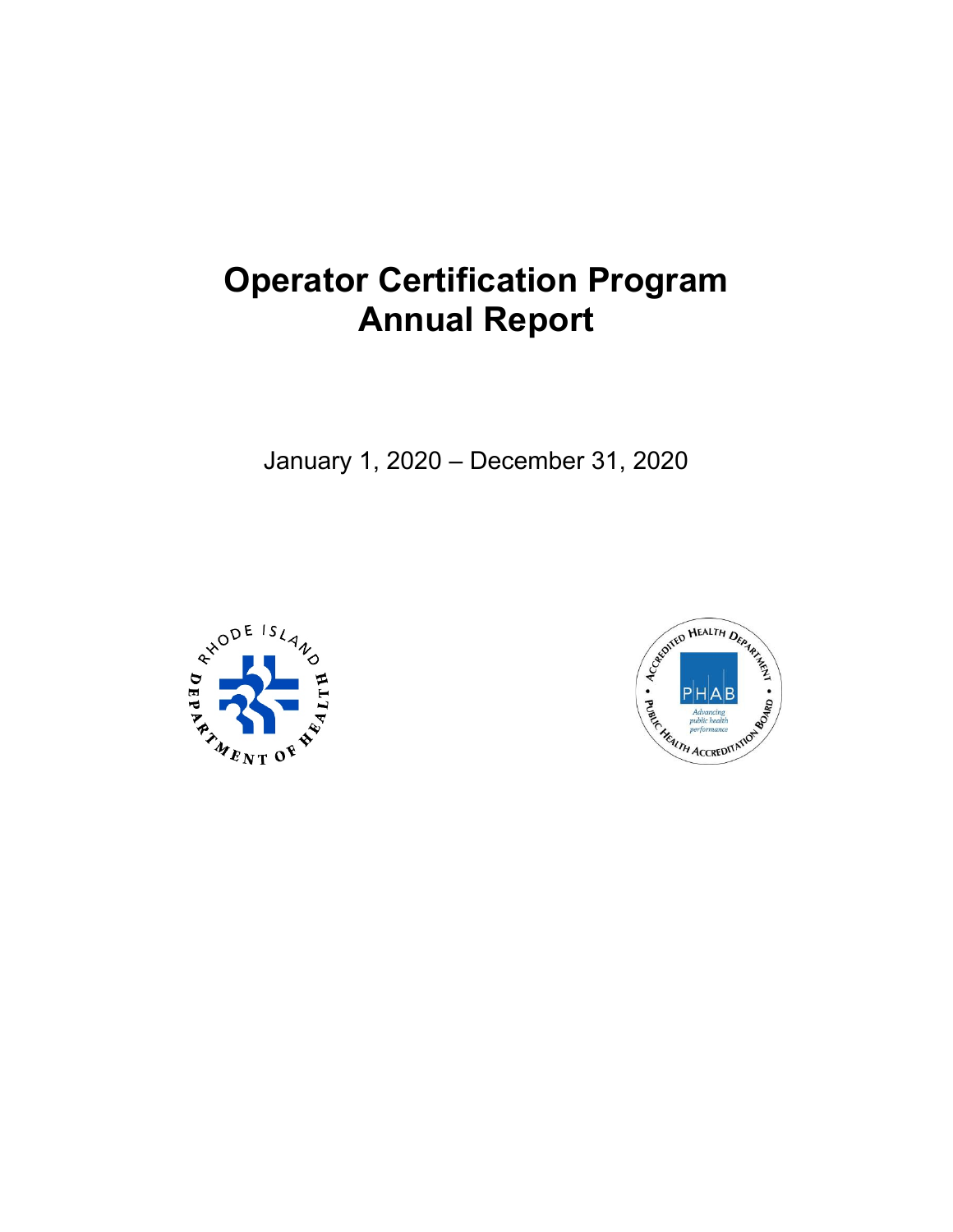# **Operator Certification Program Annual Report**

January 1, 2020 – December 31, 2020



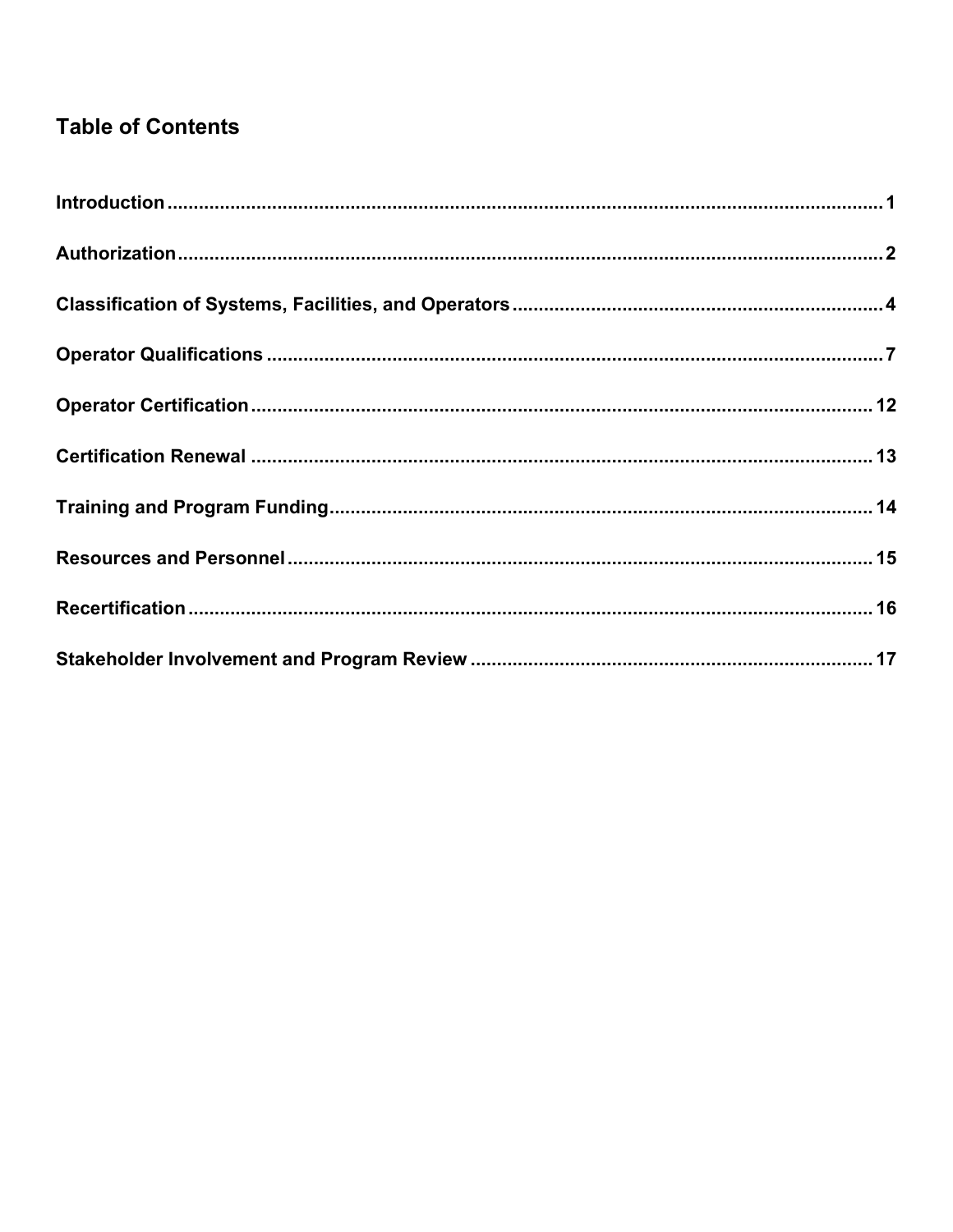## **Table of Contents**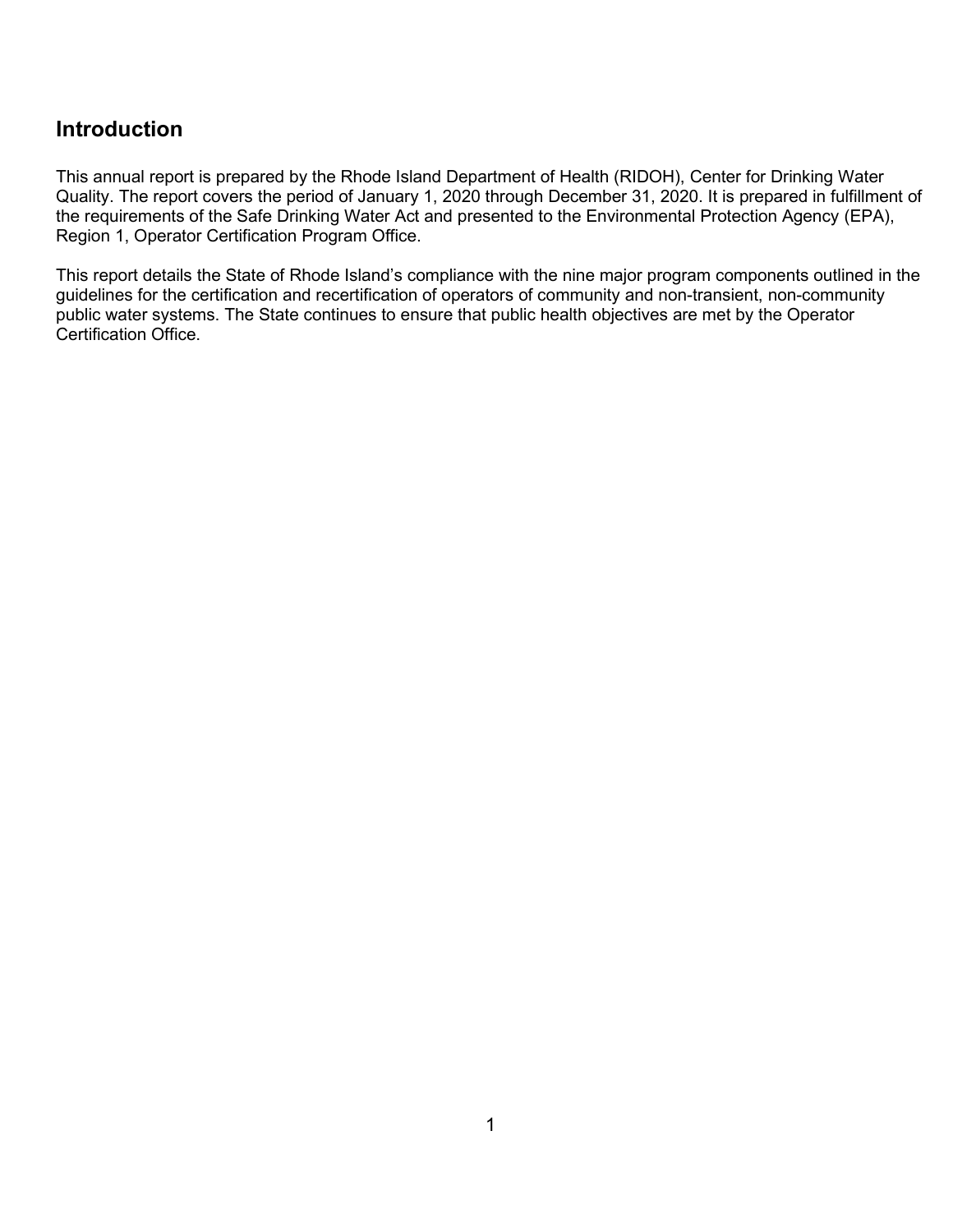#### <span id="page-2-0"></span>**Introduction**

This annual report is prepared by the Rhode Island Department of Health (RIDOH), Center for Drinking Water Quality. The report covers the period of January 1, 2020 through December 31, 2020. It is prepared in fulfillment of the requirements of the Safe Drinking Water Act and presented to the Environmental Protection Agency (EPA), Region 1, Operator Certification Program Office.

This report details the State of Rhode Island's compliance with the nine major program components outlined in the guidelines for the certification and recertification of operators of community and non-transient, non-community public water systems. The State continues to ensure that public health objectives are met by the Operator Certification Office.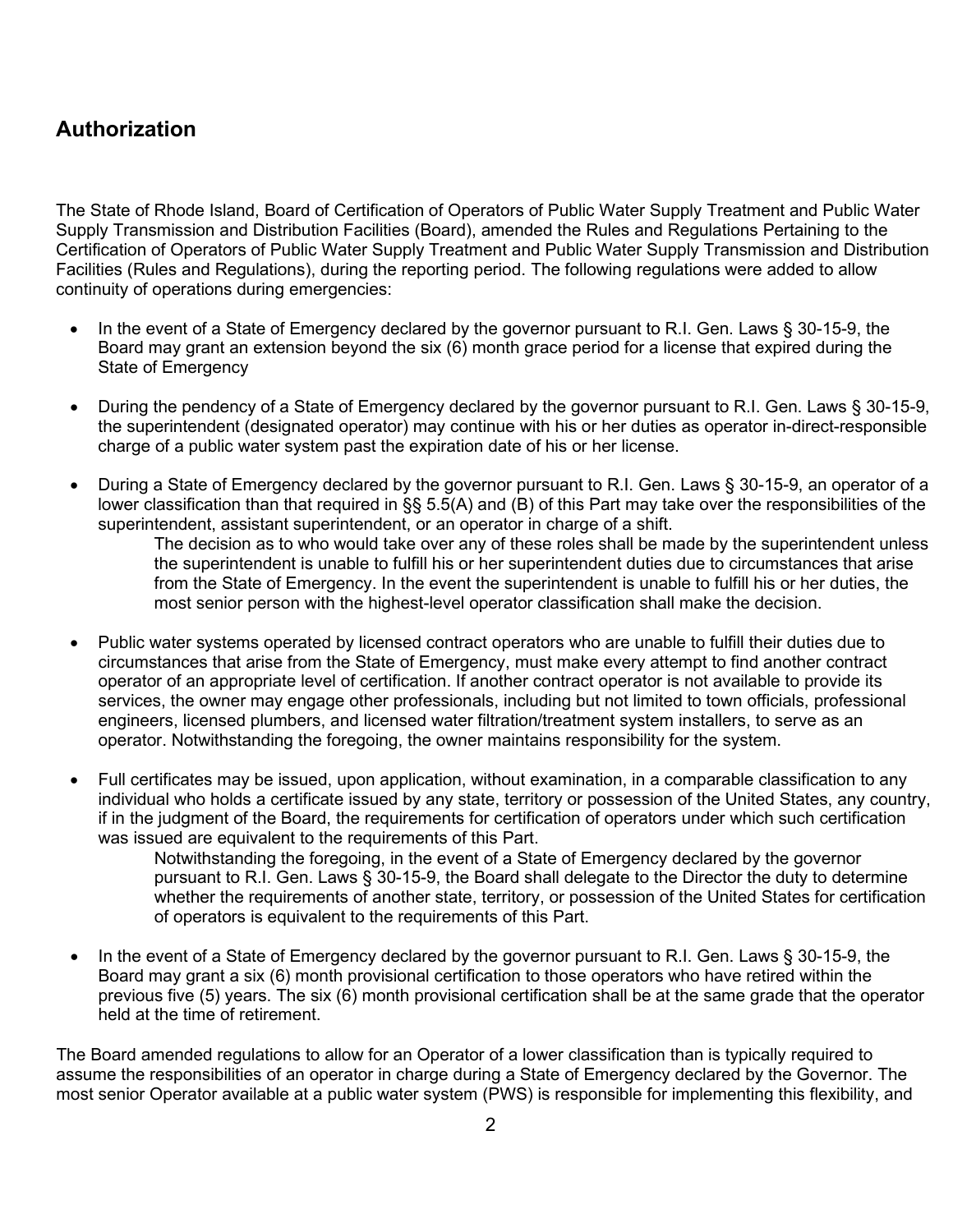#### <span id="page-3-0"></span>**Authorization**

The State of Rhode Island, Board of Certification of Operators of Public Water Supply Treatment and Public Water Supply Transmission and Distribution Facilities (Board), amended the Rules and Regulations Pertaining to the Certification of Operators of Public Water Supply Treatment and Public Water Supply Transmission and Distribution Facilities (Rules and Regulations), during the reporting period. The following regulations were added to allow continuity of operations during emergencies:

- In the event of a State of Emergency declared by the governor pursuant to R.I. Gen. Laws § 30-15-9, the Board may grant an extension beyond the six (6) month grace period for a license that expired during the State of Emergency
- During the pendency of a State of Emergency declared by the governor pursuant to R.I. Gen. Laws § 30-15-9, the superintendent (designated operator) may continue with his or her duties as operator in-direct-responsible charge of a public water system past the expiration date of his or her license.
- During a State of Emergency declared by the governor pursuant to R.I. Gen. Laws § 30-15-9, an operator of a lower classification than that required in §§ 5.5(A) and (B) of this Part may take over the responsibilities of the superintendent, assistant superintendent, or an operator in charge of a shift.

The decision as to who would take over any of these roles shall be made by the superintendent unless the superintendent is unable to fulfill his or her superintendent duties due to circumstances that arise from the State of Emergency. In the event the superintendent is unable to fulfill his or her duties, the most senior person with the highest-level operator classification shall make the decision.

- Public water systems operated by licensed contract operators who are unable to fulfill their duties due to circumstances that arise from the State of Emergency, must make every attempt to find another contract operator of an appropriate level of certification. If another contract operator is not available to provide its services, the owner may engage other professionals, including but not limited to town officials, professional engineers, licensed plumbers, and licensed water filtration/treatment system installers, to serve as an operator. Notwithstanding the foregoing, the owner maintains responsibility for the system.
- Full certificates may be issued, upon application, without examination, in a comparable classification to any individual who holds a certificate issued by any state, territory or possession of the United States, any country, if in the judgment of the Board, the requirements for certification of operators under which such certification was issued are equivalent to the requirements of this Part.

Notwithstanding the foregoing, in the event of a State of Emergency declared by the governor pursuant to R.I. Gen. Laws § 30-15-9, the Board shall delegate to the Director the duty to determine whether the requirements of another state, territory, or possession of the United States for certification of operators is equivalent to the requirements of this Part.

• In the event of a State of Emergency declared by the governor pursuant to R.I. Gen. Laws § 30-15-9, the Board may grant a six (6) month provisional certification to those operators who have retired within the previous five (5) years. The six (6) month provisional certification shall be at the same grade that the operator held at the time of retirement.

The Board amended regulations to allow for an Operator of a lower classification than is typically required to assume the responsibilities of an operator in charge during a State of Emergency declared by the Governor. The most senior Operator available at a public water system (PWS) is responsible for implementing this flexibility, and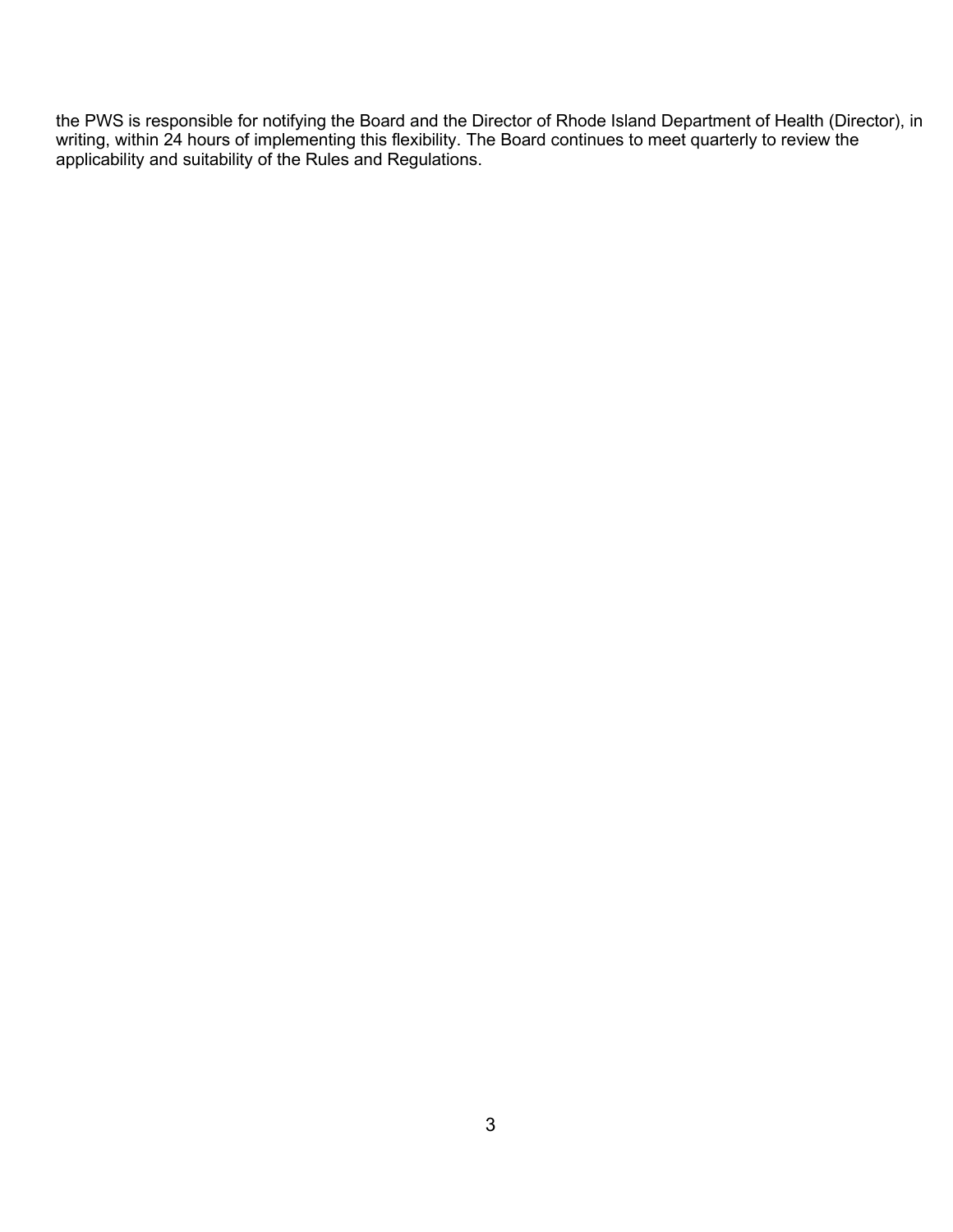the PWS is responsible for notifying the Board and the Director of Rhode Island Department of Health (Director), in writing, within 24 hours of implementing this flexibility. The Board continues to meet quarterly to review the applicability and suitability of the Rules and Regulations.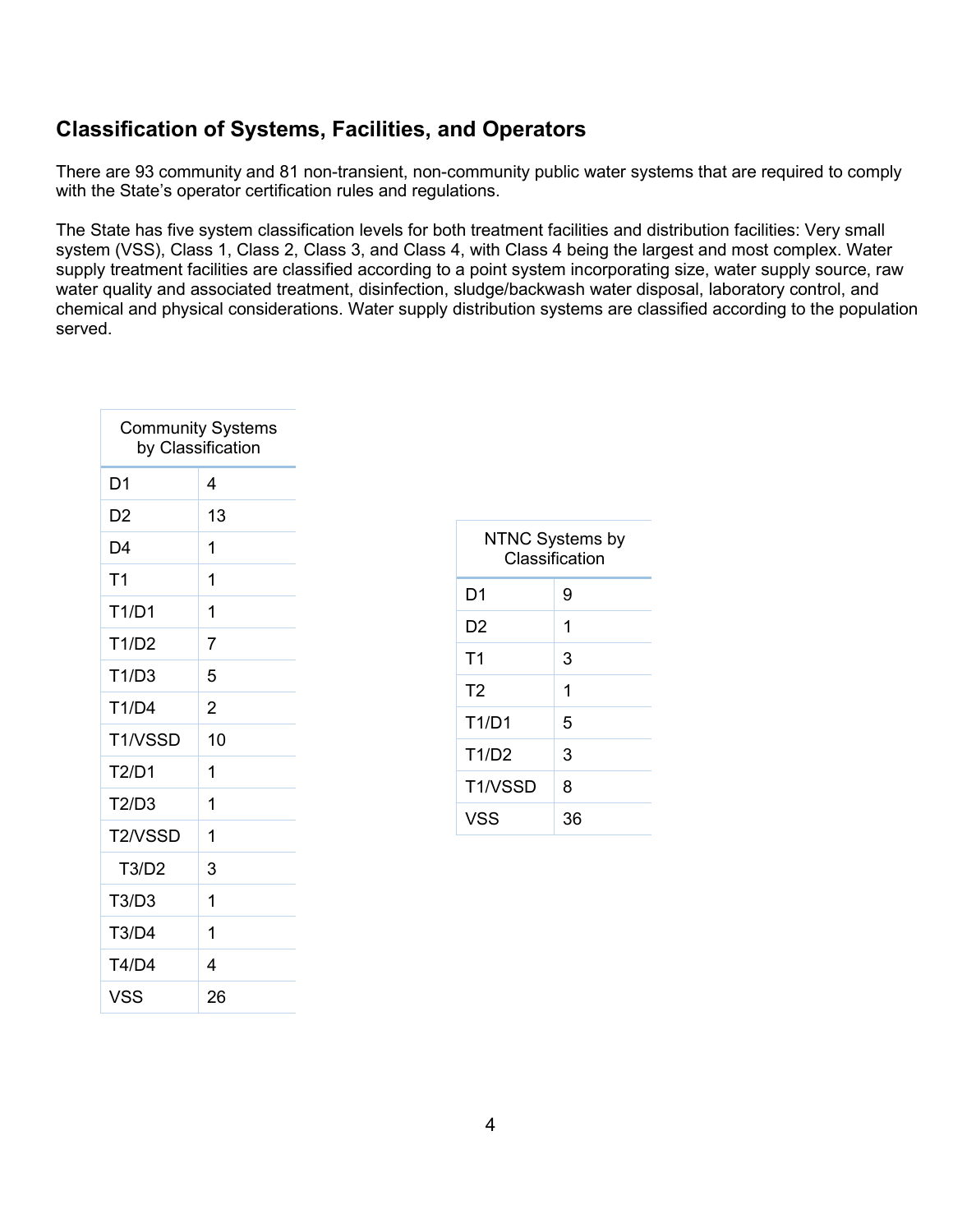#### <span id="page-5-0"></span>**Classification of Systems, Facilities, and Operators**

There are 93 community and 81 non-transient, non-community public water systems that are required to comply with the State's operator certification rules and regulations.

The State has five system classification levels for both treatment facilities and distribution facilities: Very small system (VSS), Class 1, Class 2, Class 3, and Class 4, with Class 4 being the largest and most complex. Water supply treatment facilities are classified according to a point system incorporating size, water supply source, raw water quality and associated treatment, disinfection, sludge/backwash water disposal, laboratory control, and chemical and physical considerations. Water supply distribution systems are classified according to the population served.

| <b>Community Systems</b><br>by Classification |                |  |
|-----------------------------------------------|----------------|--|
| D1                                            | 4              |  |
| D2                                            | 13             |  |
| D4                                            | 1              |  |
| T <sub>1</sub>                                | 1              |  |
| T1/D1                                         | 1              |  |
| T1/D2                                         | 7              |  |
| T1/D3                                         | 5              |  |
| T1/D4                                         | $\overline{2}$ |  |
| T1/VSSD                                       | 10             |  |
| T2/D1                                         | 1              |  |
| T2/D3                                         | 1              |  |
| T2/VSSD                                       | 1              |  |
| T3/D2                                         | 3              |  |
| T3/D3                                         | 1              |  |
| <b>T3/D4</b>                                  | 1              |  |
| T4/D4                                         | 4              |  |
| <b>VSS</b>                                    | 26             |  |

| NTNC Systems by<br>Classification |    |  |
|-----------------------------------|----|--|
| D1                                | 9  |  |
| D2                                | 1  |  |
| T <sub>1</sub>                    | 3  |  |
| T <sub>2</sub>                    | 1  |  |
| T1/D1                             | 5  |  |
| T1/D2                             | 3  |  |
| T1/VSSD                           | 8  |  |
| VSS                               | 36 |  |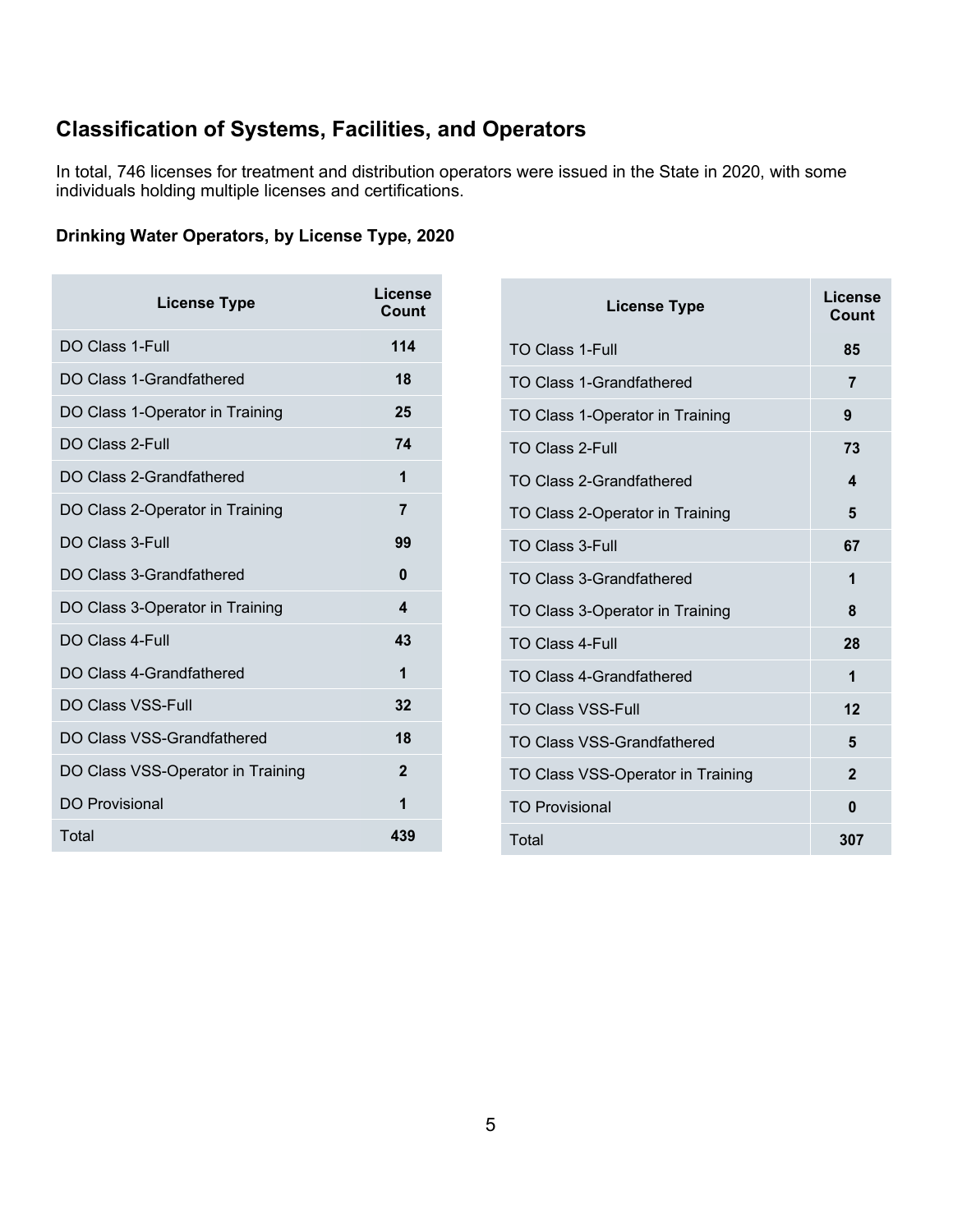### **Classification of Systems, Facilities, and Operators**

In total, 746 licenses for treatment and distribution operators were issued in the State in 2020, with some individuals holding multiple licenses and certifications.

#### **Drinking Water Operators, by License Type, 2020**

| <b>License Type</b>               | License<br>Count |
|-----------------------------------|------------------|
| DO Class 1-Full                   | 114              |
| DO Class 1-Grandfathered          | 18               |
| DO Class 1-Operator in Training   | 25               |
| DO Class 2-Full                   | 74               |
| DO Class 2-Grandfathered          | 1                |
| DO Class 2-Operator in Training   | 7                |
| DO Class 3-Full                   | 99               |
| DO Class 3-Grandfathered          | 0                |
| DO Class 3-Operator in Training   | 4                |
| DO Class 4-Full                   | 43               |
| DO Class 4-Grandfathered          | 1                |
| <b>DO Class VSS-Full</b>          | 32               |
| DO Class VSS-Grandfathered        | 18               |
| DO Class VSS-Operator in Training | $\mathbf{2}$     |
| <b>DO Provisional</b>             | 1                |
| Total                             | 439              |

| <b>License Type</b>               | License<br>Count |
|-----------------------------------|------------------|
| <b>TO Class 1-Full</b>            | 85               |
| TO Class 1-Grandfathered          | 7                |
| TO Class 1-Operator in Training   | 9                |
| <b>TO Class 2-Full</b>            | 73               |
| <b>TO Class 2-Grandfathered</b>   | 4                |
| TO Class 2-Operator in Training   | 5                |
| <b>TO Class 3-Full</b>            | 67               |
| <b>TO Class 3-Grandfathered</b>   | 1                |
| TO Class 3-Operator in Training   | 8                |
| <b>TO Class 4-Full</b>            | 28               |
| TO Class 4-Grandfathered          | 1                |
| <b>TO Class VSS-Full</b>          | 12               |
| <b>TO Class VSS-Grandfathered</b> | 5                |
| TO Class VSS-Operator in Training | $\overline{2}$   |
| <b>TO Provisional</b>             | 0                |
| Total                             | 307              |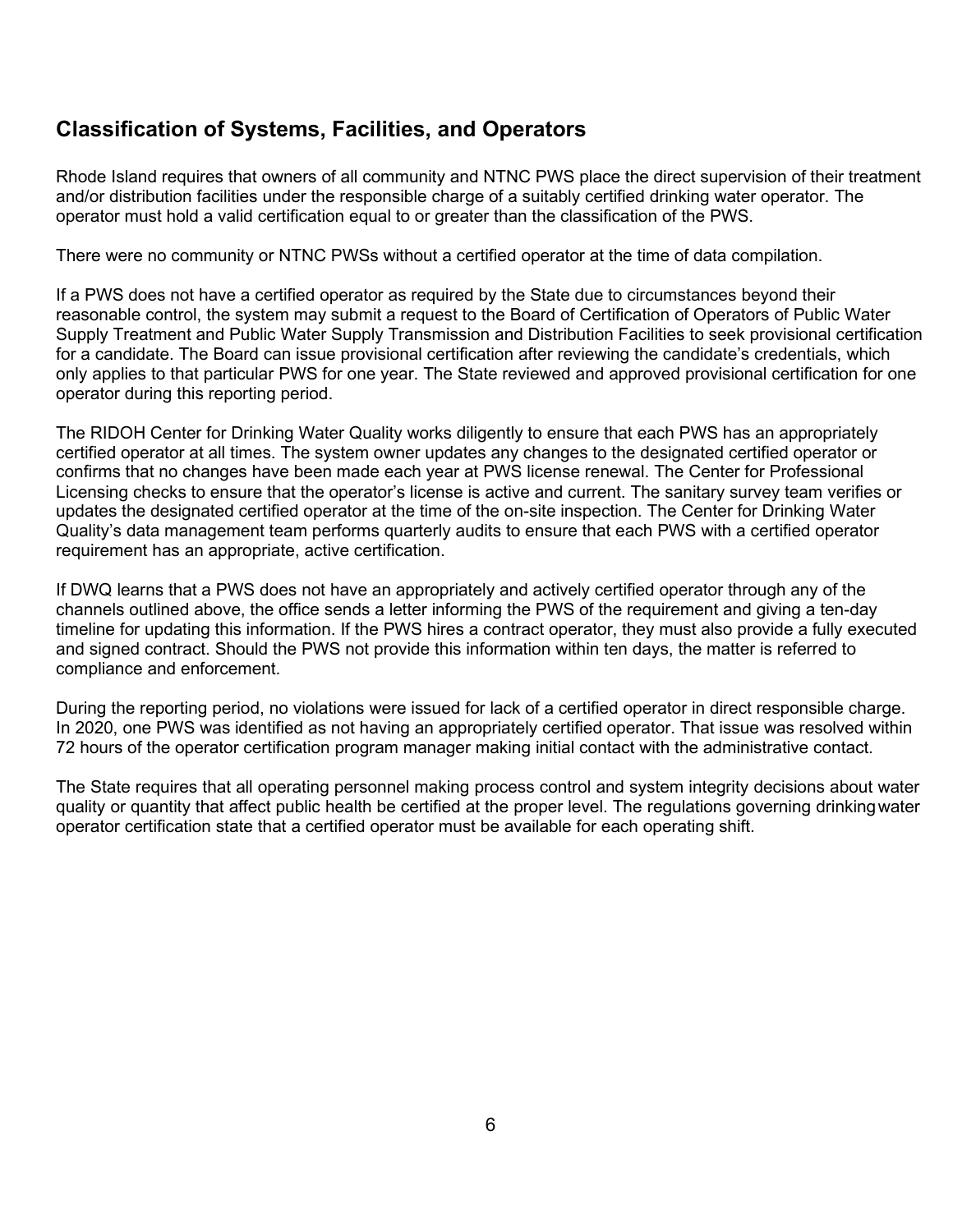#### **Classification of Systems, Facilities, and Operators**

Rhode Island requires that owners of all community and NTNC PWS place the direct supervision of their treatment and/or distribution facilities under the responsible charge of a suitably certified drinking water operator. The operator must hold a valid certification equal to or greater than the classification of the PWS.

There were no community or NTNC PWSs without a certified operator at the time of data compilation.

If a PWS does not have a certified operator as required by the State due to circumstances beyond their reasonable control, the system may submit a request to the Board of Certification of Operators of Public Water Supply Treatment and Public Water Supply Transmission and Distribution Facilities to seek provisional certification for a candidate. The Board can issue provisional certification after reviewing the candidate's credentials, which only applies to that particular PWS for one year. The State reviewed and approved provisional certification for one operator during this reporting period.

The RIDOH Center for Drinking Water Quality works diligently to ensure that each PWS has an appropriately certified operator at all times. The system owner updates any changes to the designated certified operator or confirms that no changes have been made each year at PWS license renewal. The Center for Professional Licensing checks to ensure that the operator's license is active and current. The sanitary survey team verifies or updates the designated certified operator at the time of the on-site inspection. The Center for Drinking Water Quality's data management team performs quarterly audits to ensure that each PWS with a certified operator requirement has an appropriate, active certification.

If DWQ learns that a PWS does not have an appropriately and actively certified operator through any of the channels outlined above, the office sends a letter informing the PWS of the requirement and giving a ten-day timeline for updating this information. If the PWS hires a contract operator, they must also provide a fully executed and signed contract. Should the PWS not provide this information within ten days, the matter is referred to compliance and enforcement.

During the reporting period, no violations were issued for lack of a certified operator in direct responsible charge. In 2020, one PWS was identified as not having an appropriately certified operator. That issue was resolved within 72 hours of the operator certification program manager making initial contact with the administrative contact.

The State requires that all operating personnel making process control and system integrity decisions about water quality or quantity that affect public health be certified at the proper level. The regulations governing drinkingwater operator certification state that a certified operator must be available for each operating shift.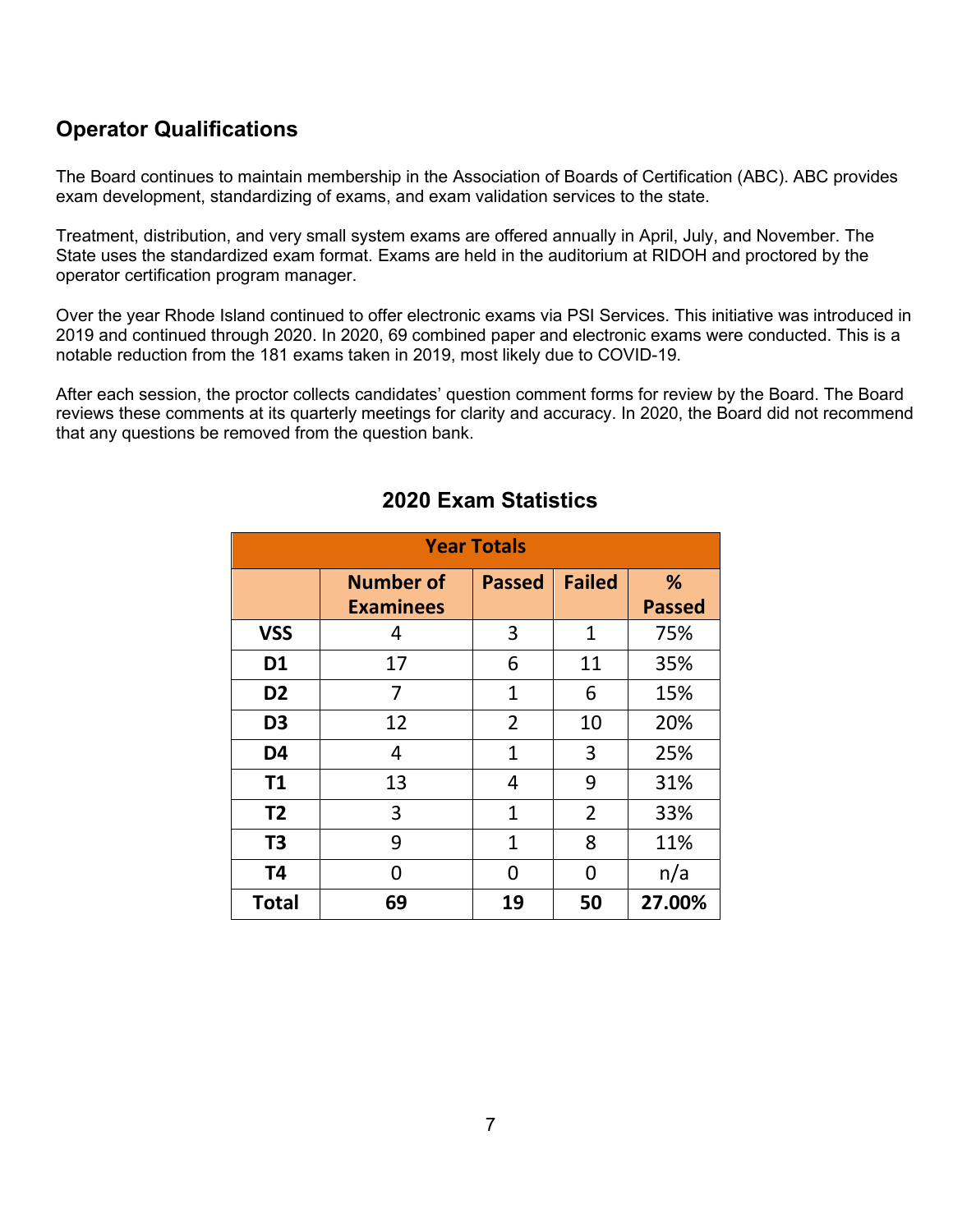#### <span id="page-8-0"></span>**Operator Qualifications**

The Board continues to maintain membership in the Association of Boards of Certification (ABC). ABC provides exam development, standardizing of exams, and exam validation services to the state.

Treatment, distribution, and very small system exams are offered annually in April, July, and November. The State uses the standardized exam format. Exams are held in the auditorium at RIDOH and proctored by the operator certification program manager.

Over the year Rhode Island continued to offer electronic exams via PSI Services. This initiative was introduced in 2019 and continued through 2020. In 2020, 69 combined paper and electronic exams were conducted. This is a notable reduction from the 181 exams taken in 2019, most likely due to COVID-19.

After each session, the proctor collects candidates' question comment forms for review by the Board. The Board reviews these comments at its quarterly meetings for clarity and accuracy. In 2020, the Board did not recommend that any questions be removed from the question bank.

| <b>Year Totals</b> |                  |                |                |               |  |
|--------------------|------------------|----------------|----------------|---------------|--|
|                    | <b>Number of</b> | <b>Passed</b>  | <b>Failed</b>  | %             |  |
|                    | <b>Examinees</b> |                |                | <b>Passed</b> |  |
| <b>VSS</b>         | 4                | 3              | $\mathbf{1}$   | 75%           |  |
| D <sub>1</sub>     | 17               | 6              | 11             | 35%           |  |
| D <sub>2</sub>     | 7                | $\mathbf 1$    | 6              | 15%           |  |
| D <sub>3</sub>     | 12               | $\overline{2}$ | 10             | 20%           |  |
| D <sub>4</sub>     | 4                | $\mathbf{1}$   | 3              | 25%           |  |
| <b>T1</b>          | 13               | 4              | 9              | 31%           |  |
| <b>T2</b>          | 3                | $\mathbf{1}$   | $\overline{2}$ | 33%           |  |
| T <sub>3</sub>     | 9                | $\mathbf{1}$   | 8              | 11%           |  |
| T <sub>4</sub>     | O                | 0              | O              | n/a           |  |
| <b>Total</b>       | 69               | 19             | 50             | 27.00%        |  |

#### **2020 Exam Statistics**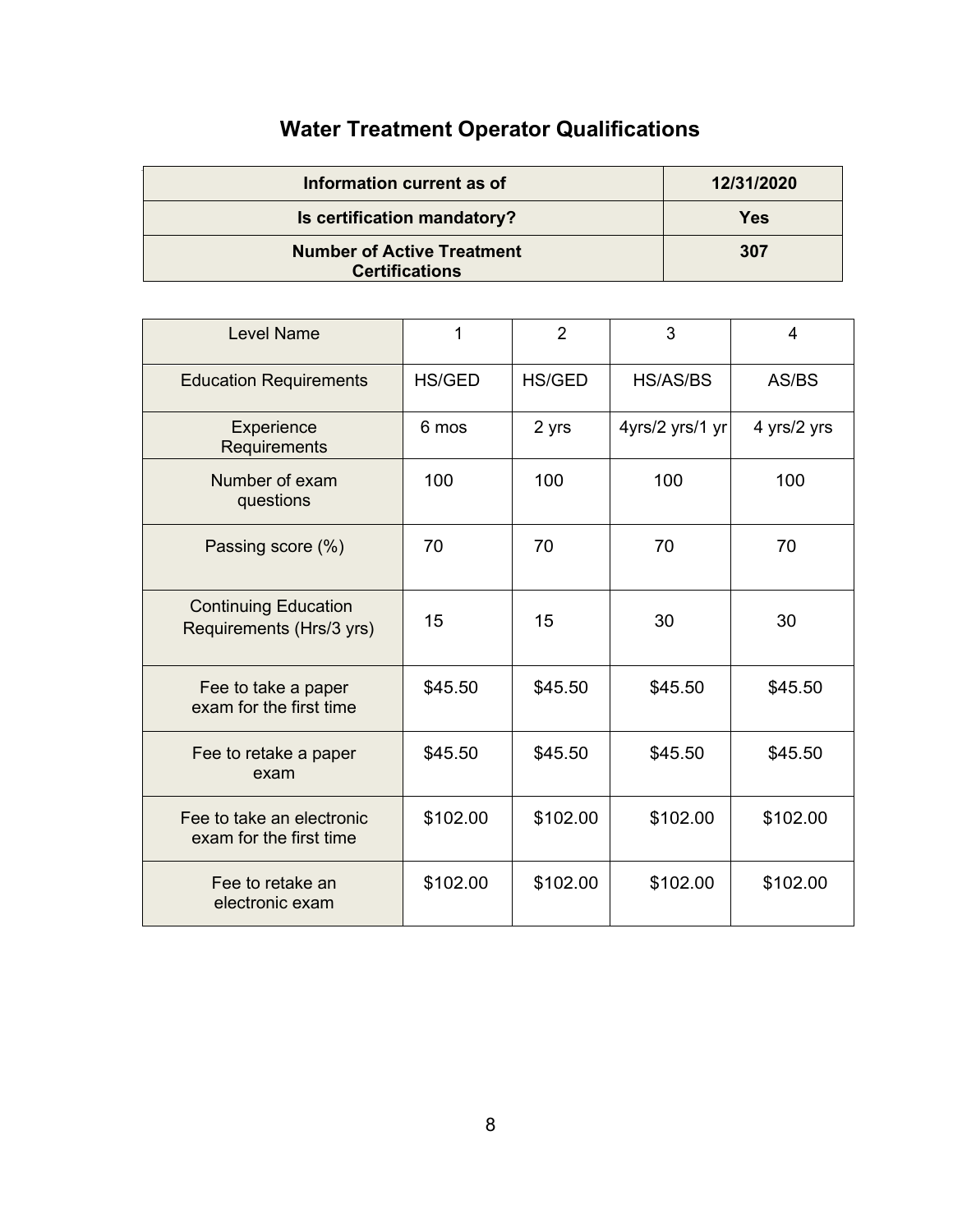## **Water Treatment Operator Qualifications**

| Information current as of                                  | 12/31/2020 |
|------------------------------------------------------------|------------|
| Is certification mandatory?                                | Yes        |
| <b>Number of Active Treatment</b><br><b>Certifications</b> | 307        |

| <b>Level Name</b>                                       | 1             | 2        | 3               | 4           |
|---------------------------------------------------------|---------------|----------|-----------------|-------------|
| <b>Education Requirements</b>                           | <b>HS/GED</b> | HS/GED   | HS/AS/BS        | AS/BS       |
| Experience<br>Requirements                              | 6 mos         | 2 yrs    | 4yrs/2 yrs/1 yr | 4 yrs/2 yrs |
| Number of exam<br>questions                             | 100           | 100      | 100             | 100         |
| Passing score (%)                                       | 70            | 70       | 70              | 70          |
| <b>Continuing Education</b><br>Requirements (Hrs/3 yrs) | 15            | 15       | 30              | 30          |
| Fee to take a paper<br>exam for the first time          | \$45.50       | \$45.50  | \$45.50         | \$45.50     |
| Fee to retake a paper<br>exam                           | \$45.50       | \$45.50  | \$45.50         | \$45.50     |
| Fee to take an electronic<br>exam for the first time    | \$102.00      | \$102.00 | \$102.00        | \$102.00    |
| Fee to retake an<br>electronic exam                     | \$102.00      | \$102.00 | \$102.00        | \$102.00    |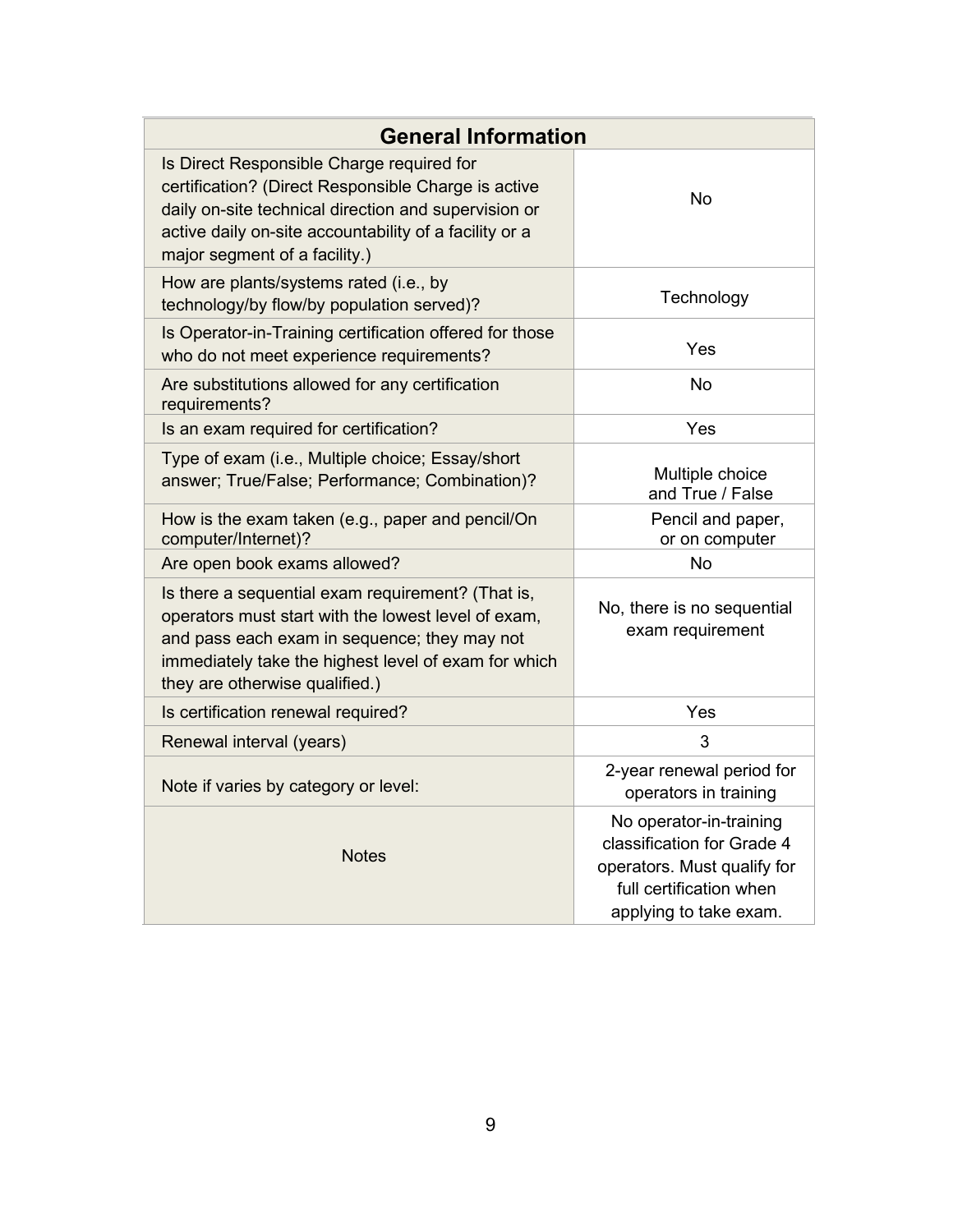| <b>General Information</b>                                                                                                                                                                                                                          |                                                                                                                                           |  |
|-----------------------------------------------------------------------------------------------------------------------------------------------------------------------------------------------------------------------------------------------------|-------------------------------------------------------------------------------------------------------------------------------------------|--|
| Is Direct Responsible Charge required for<br>certification? (Direct Responsible Charge is active<br>daily on-site technical direction and supervision or<br>active daily on-site accountability of a facility or a<br>major segment of a facility.) | <b>No</b>                                                                                                                                 |  |
| How are plants/systems rated (i.e., by<br>technology/by flow/by population served)?                                                                                                                                                                 | Technology                                                                                                                                |  |
| Is Operator-in-Training certification offered for those<br>who do not meet experience requirements?                                                                                                                                                 | Yes                                                                                                                                       |  |
| Are substitutions allowed for any certification<br>requirements?                                                                                                                                                                                    | <b>No</b>                                                                                                                                 |  |
| Is an exam required for certification?                                                                                                                                                                                                              | Yes                                                                                                                                       |  |
| Type of exam (i.e., Multiple choice; Essay/short<br>answer; True/False; Performance; Combination)?                                                                                                                                                  | Multiple choice<br>and True / False                                                                                                       |  |
| How is the exam taken (e.g., paper and pencil/On<br>computer/Internet)?                                                                                                                                                                             | Pencil and paper,<br>or on computer                                                                                                       |  |
| Are open book exams allowed?                                                                                                                                                                                                                        | <b>No</b>                                                                                                                                 |  |
| Is there a sequential exam requirement? (That is,<br>operators must start with the lowest level of exam,<br>and pass each exam in sequence; they may not<br>immediately take the highest level of exam for which<br>they are otherwise qualified.)  | No, there is no sequential<br>exam requirement                                                                                            |  |
| Is certification renewal required?                                                                                                                                                                                                                  | Yes                                                                                                                                       |  |
| Renewal interval (years)                                                                                                                                                                                                                            | 3                                                                                                                                         |  |
| Note if varies by category or level:                                                                                                                                                                                                                | 2-year renewal period for<br>operators in training                                                                                        |  |
| <b>Notes</b>                                                                                                                                                                                                                                        | No operator-in-training<br>classification for Grade 4<br>operators. Must qualify for<br>full certification when<br>applying to take exam. |  |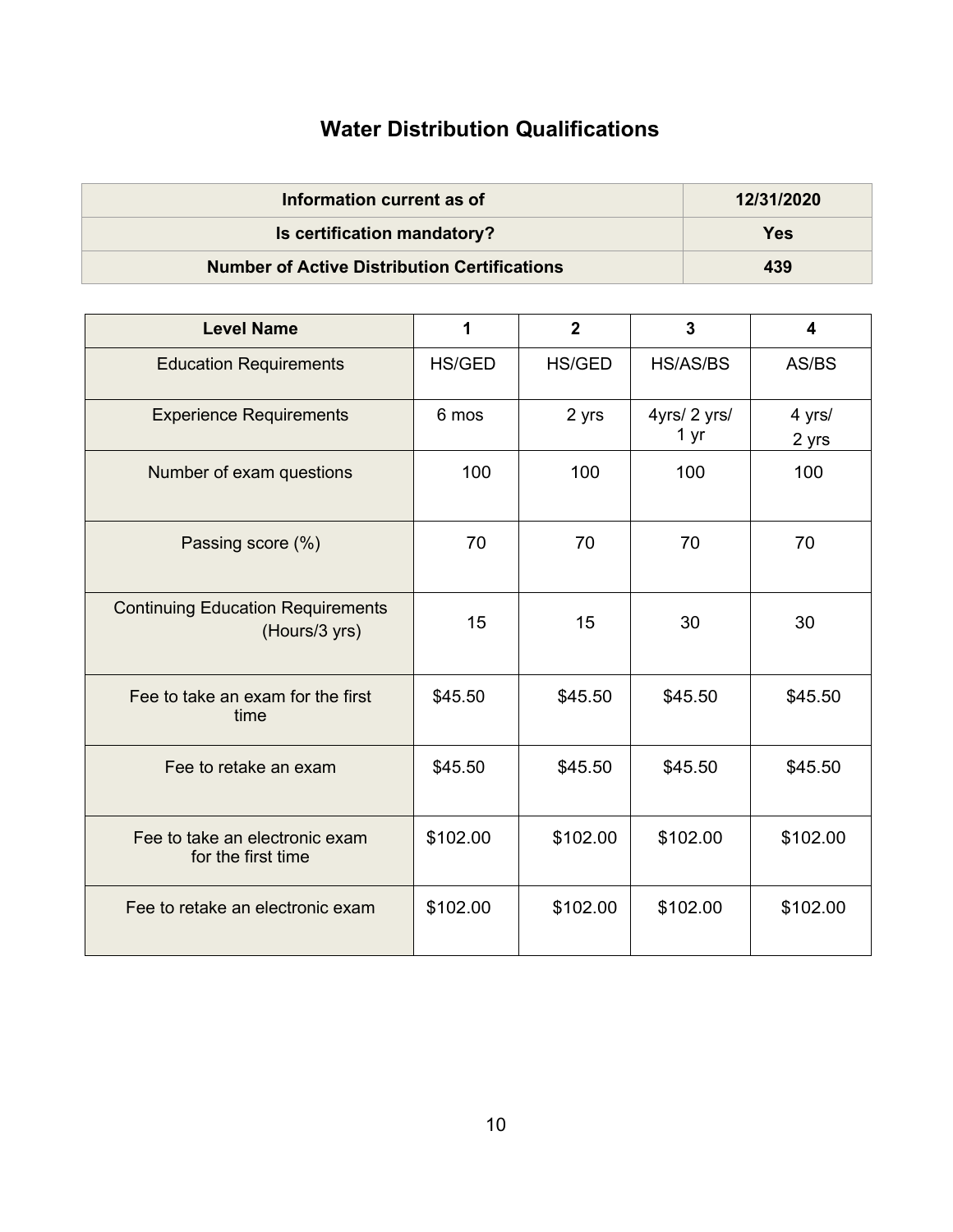## **Water Distribution Qualifications**

| Information current as of                           | 12/31/2020 |
|-----------------------------------------------------|------------|
| Is certification mandatory?                         | Yes        |
| <b>Number of Active Distribution Certifications</b> | 439        |

| <b>Level Name</b>                                         | 1             | $\overline{2}$ | 3                    | 4               |
|-----------------------------------------------------------|---------------|----------------|----------------------|-----------------|
| <b>Education Requirements</b>                             | <b>HS/GED</b> | HS/GED         | <b>HS/AS/BS</b>      | AS/BS           |
| <b>Experience Requirements</b>                            | 6 mos         | 2 yrs          | 4yrs/ 2 yrs/<br>1 yr | 4 yrs/<br>2 yrs |
| Number of exam questions                                  | 100           | 100            | 100                  | 100             |
| Passing score (%)                                         | 70            | 70             | 70                   | 70              |
| <b>Continuing Education Requirements</b><br>(Hours/3 yrs) | 15            | 15             | 30                   | 30              |
| Fee to take an exam for the first<br>time                 | \$45.50       | \$45.50        | \$45.50              | \$45.50         |
| Fee to retake an exam                                     | \$45.50       | \$45.50        | \$45.50              | \$45.50         |
| Fee to take an electronic exam<br>for the first time      | \$102.00      | \$102.00       | \$102.00             | \$102.00        |
| Fee to retake an electronic exam                          | \$102.00      | \$102.00       | \$102.00             | \$102.00        |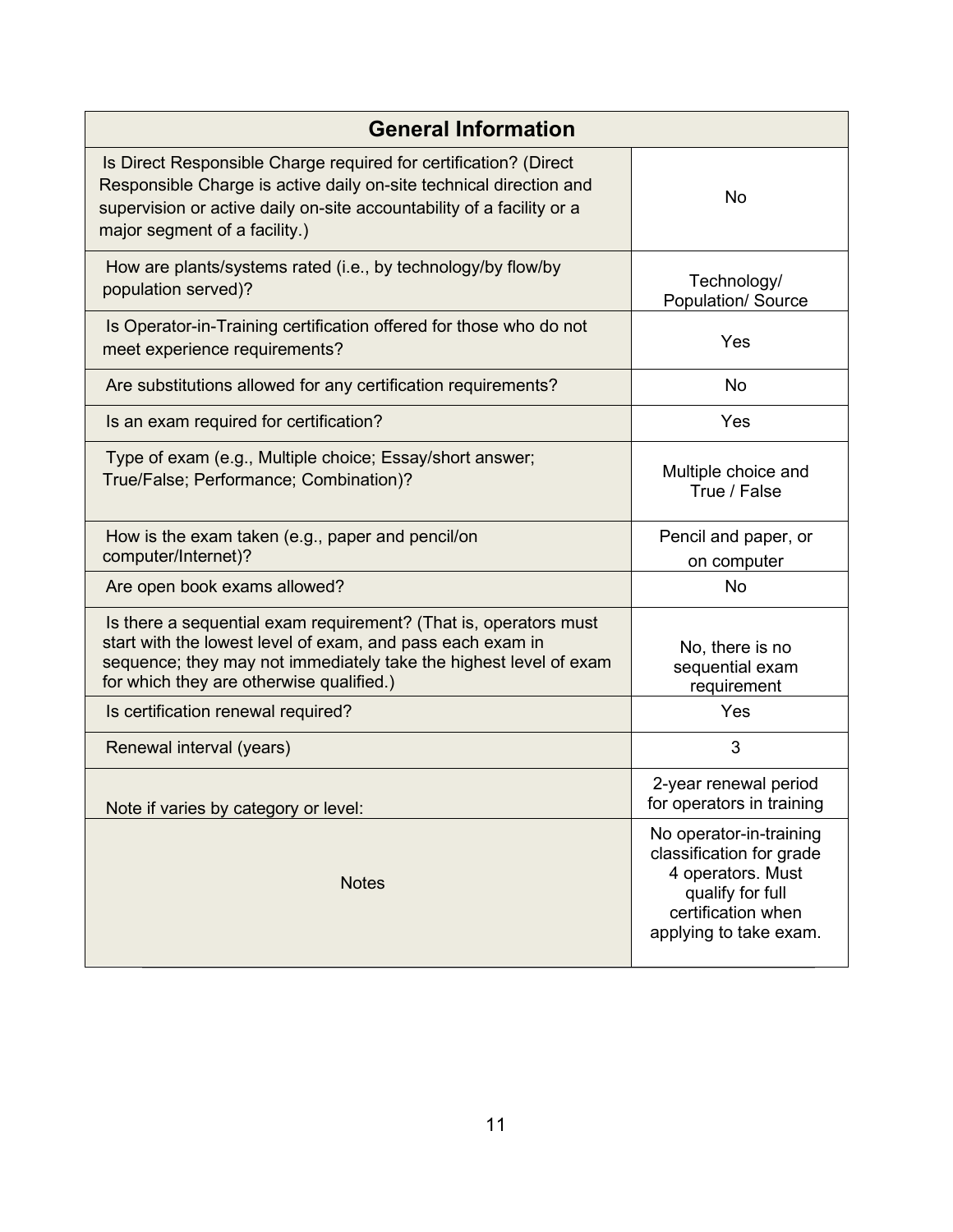| <b>General Information</b>                                                                                                                                                                                                                       |                                                                                                                                              |  |  |
|--------------------------------------------------------------------------------------------------------------------------------------------------------------------------------------------------------------------------------------------------|----------------------------------------------------------------------------------------------------------------------------------------------|--|--|
| Is Direct Responsible Charge required for certification? (Direct<br>Responsible Charge is active daily on-site technical direction and<br>supervision or active daily on-site accountability of a facility or a<br>major segment of a facility.) | <b>No</b>                                                                                                                                    |  |  |
| How are plants/systems rated (i.e., by technology/by flow/by<br>population served)?                                                                                                                                                              | Technology/<br>Population/ Source                                                                                                            |  |  |
| Is Operator-in-Training certification offered for those who do not<br>meet experience requirements?                                                                                                                                              | Yes                                                                                                                                          |  |  |
| Are substitutions allowed for any certification requirements?                                                                                                                                                                                    | <b>No</b>                                                                                                                                    |  |  |
| Is an exam required for certification?                                                                                                                                                                                                           | Yes                                                                                                                                          |  |  |
| Type of exam (e.g., Multiple choice; Essay/short answer;<br>True/False; Performance; Combination)?                                                                                                                                               | Multiple choice and<br>True / False                                                                                                          |  |  |
| How is the exam taken (e.g., paper and pencil/on<br>computer/Internet)?                                                                                                                                                                          | Pencil and paper, or<br>on computer                                                                                                          |  |  |
| Are open book exams allowed?                                                                                                                                                                                                                     | <b>No</b>                                                                                                                                    |  |  |
| Is there a sequential exam requirement? (That is, operators must<br>start with the lowest level of exam, and pass each exam in<br>sequence; they may not immediately take the highest level of exam<br>for which they are otherwise qualified.)  | No, there is no<br>sequential exam<br>requirement                                                                                            |  |  |
| Is certification renewal required?                                                                                                                                                                                                               | Yes                                                                                                                                          |  |  |
| Renewal interval (years)                                                                                                                                                                                                                         | 3                                                                                                                                            |  |  |
| Note if varies by category or level:                                                                                                                                                                                                             | 2-year renewal period<br>for operators in training                                                                                           |  |  |
| <b>Notes</b>                                                                                                                                                                                                                                     | No operator-in-training<br>classification for grade<br>4 operators. Must<br>qualify for full<br>certification when<br>applying to take exam. |  |  |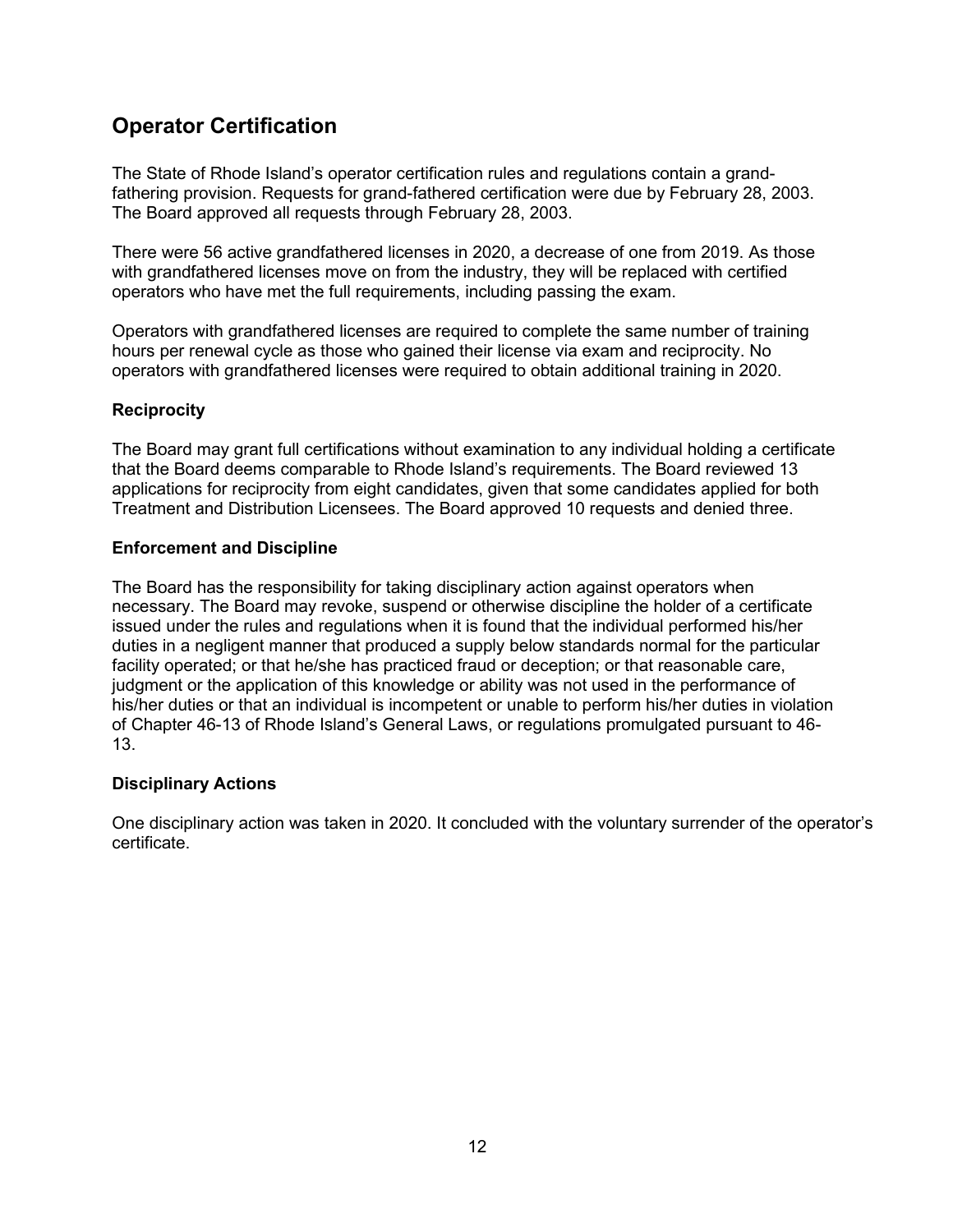### **Operator Certification**

The State of Rhode Island's operator certification rules and regulations contain a grandfathering provision. Requests for grand-fathered certification were due by February 28, 2003. The Board approved all requests through February 28, 2003.

There were 56 active grandfathered licenses in 2020, a decrease of one from 2019. As those with grandfathered licenses move on from the industry, they will be replaced with certified operators who have met the full requirements, including passing the exam.

Operators with grandfathered licenses are required to complete the same number of training hours per renewal cycle as those who gained their license via exam and reciprocity. No operators with grandfathered licenses were required to obtain additional training in 2020.

#### **Reciprocity**

The Board may grant full certifications without examination to any individual holding a certificate that the Board deems comparable to Rhode Island's requirements. The Board reviewed 13 applications for reciprocity from eight candidates, given that some candidates applied for both Treatment and Distribution Licensees. The Board approved 10 requests and denied three.

#### **Enforcement and Discipline**

The Board has the responsibility for taking disciplinary action against operators when necessary. The Board may revoke, suspend or otherwise discipline the holder of a certificate issued under the rules and regulations when it is found that the individual performed his/her duties in a negligent manner that produced a supply below standards normal for the particular facility operated; or that he/she has practiced fraud or deception; or that reasonable care, judgment or the application of this knowledge or ability was not used in the performance of his/her duties or that an individual is incompetent or unable to perform his/her duties in violation of Chapter 46-13 of Rhode Island's General Laws, or regulations promulgated pursuant to 46- 13.

#### **Disciplinary Actions**

One disciplinary action was taken in 2020. It concluded with the voluntary surrender of the operator's certificate.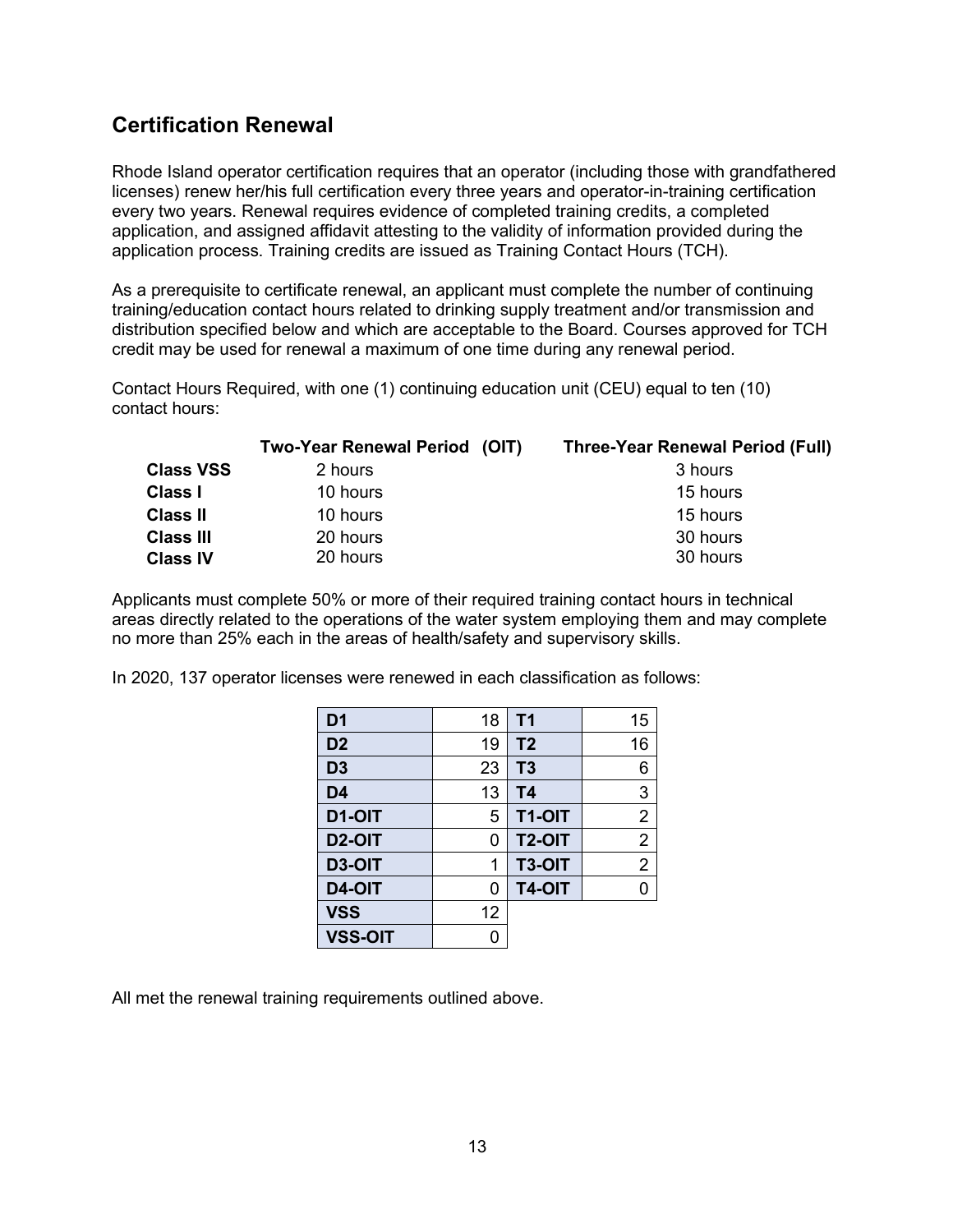#### <span id="page-14-0"></span>**Certification Renewal**

Rhode Island operator certification requires that an operator (including those with grandfathered licenses) renew her/his full certification every three years and operator-in-training certification every two years. Renewal requires evidence of completed training credits, a completed application, and assigned affidavit attesting to the validity of information provided during the application process. Training credits are issued as Training Contact Hours (TCH).

As a prerequisite to certificate renewal, an applicant must complete the number of continuing training/education contact hours related to drinking supply treatment and/or transmission and distribution specified below and which are acceptable to the Board. Courses approved for TCH credit may be used for renewal a maximum of one time during any renewal period.

Contact Hours Required, with one (1) continuing education unit (CEU) equal to ten (10) contact hours:

|                                     | Two-Year Renewal Period (OIT) | <b>Three-Year Renewal Period (Full)</b> |
|-------------------------------------|-------------------------------|-----------------------------------------|
| <b>Class VSS</b>                    | 2 hours                       | 3 hours                                 |
| <b>Class I</b>                      | 10 hours                      | 15 hours                                |
| <b>Class II</b>                     | 10 hours                      | 15 hours                                |
| <b>Class III</b><br><b>Class IV</b> | 20 hours<br>20 hours          | 30 hours<br>30 hours                    |

Applicants must complete 50% or more of their required training contact hours in technical areas directly related to the operations of the water system employing them and may complete no more than 25% each in the areas of health/safety and supervisory skills.

In 2020, 137 operator licenses were renewed in each classification as follows:

| D <sub>1</sub>      | 18 | T <sub>1</sub> | 15             |
|---------------------|----|----------------|----------------|
| D <sub>2</sub>      | 19 | T <sub>2</sub> | 16             |
| D <sub>3</sub>      | 23 | T <sub>3</sub> | 6              |
| D <sub>4</sub>      | 13 | T4             | 3              |
| D1-OIT              | 5  | T1-OIT         | $\overline{2}$ |
| D <sub>2</sub> -OIT | 0  | <b>T2-OIT</b>  | $\overline{2}$ |
| <b>D3-OIT</b>       | 1  | T3-OIT         | $\overline{2}$ |
| D4-OIT              | 0  | T4-OIT         | N              |
| <b>VSS</b>          | 12 |                |                |
| <b>VSS-OIT</b>      |    |                |                |

All met the renewal training requirements outlined above.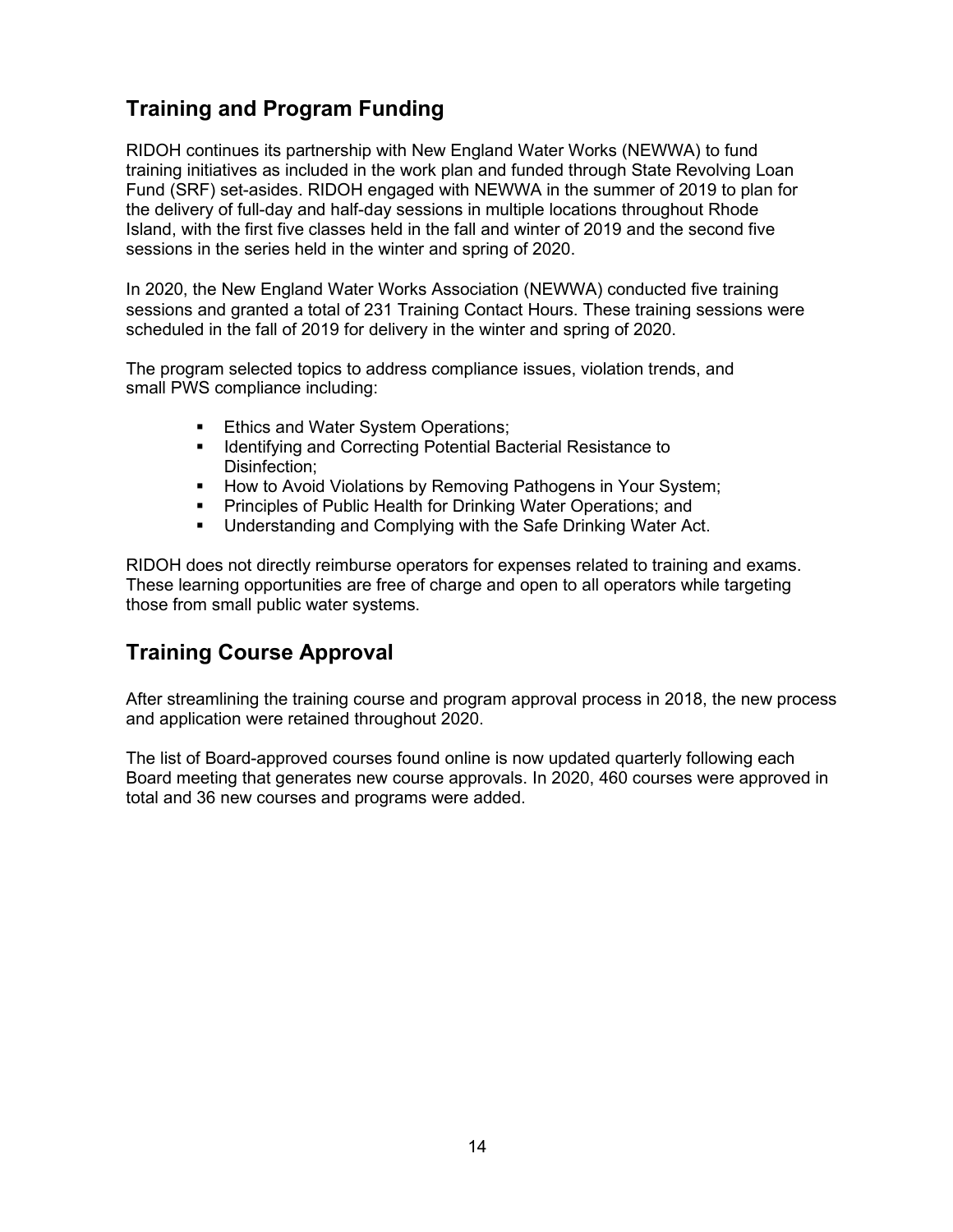## **Training and Program Funding**

RIDOH continues its partnership with New England Water Works (NEWWA) to fund training initiatives as included in the work plan and funded through State Revolving Loan Fund (SRF) set-asides. RIDOH engaged with NEWWA in the summer of 2019 to plan for the delivery of full-day and half-day sessions in multiple locations throughout Rhode Island, with the first five classes held in the fall and winter of 2019 and the second five sessions in the series held in the winter and spring of 2020.

In 2020, the New England Water Works Association (NEWWA) conducted five training sessions and granted a total of 231 Training Contact Hours. These training sessions were scheduled in the fall of 2019 for delivery in the winter and spring of 2020.

The program selected topics to address compliance issues, violation trends, and small PWS compliance including:

- Ethics and Water System Operations;
- **IDENTIFY 19 Identifying and Correcting Potential Bacterial Resistance to** Disinfection;
- **How to Avoid Violations by Removing Pathogens in Your System;**
- Principles of Public Health for Drinking Water Operations; and
- Understanding and Complying with the Safe Drinking Water Act.

RIDOH does not directly reimburse operators for expenses related to training and exams. These learning opportunities are free of charge and open to all operators while targeting those from small public water systems.

#### **Training Course Approval**

After streamlining the training course and program approval process in 2018, the new process and application were retained throughout 2020.

The list of Board-approved courses found online is now updated quarterly following each Board meeting that generates new course approvals. In 2020, 460 courses were approved in total and 36 new courses and programs were added.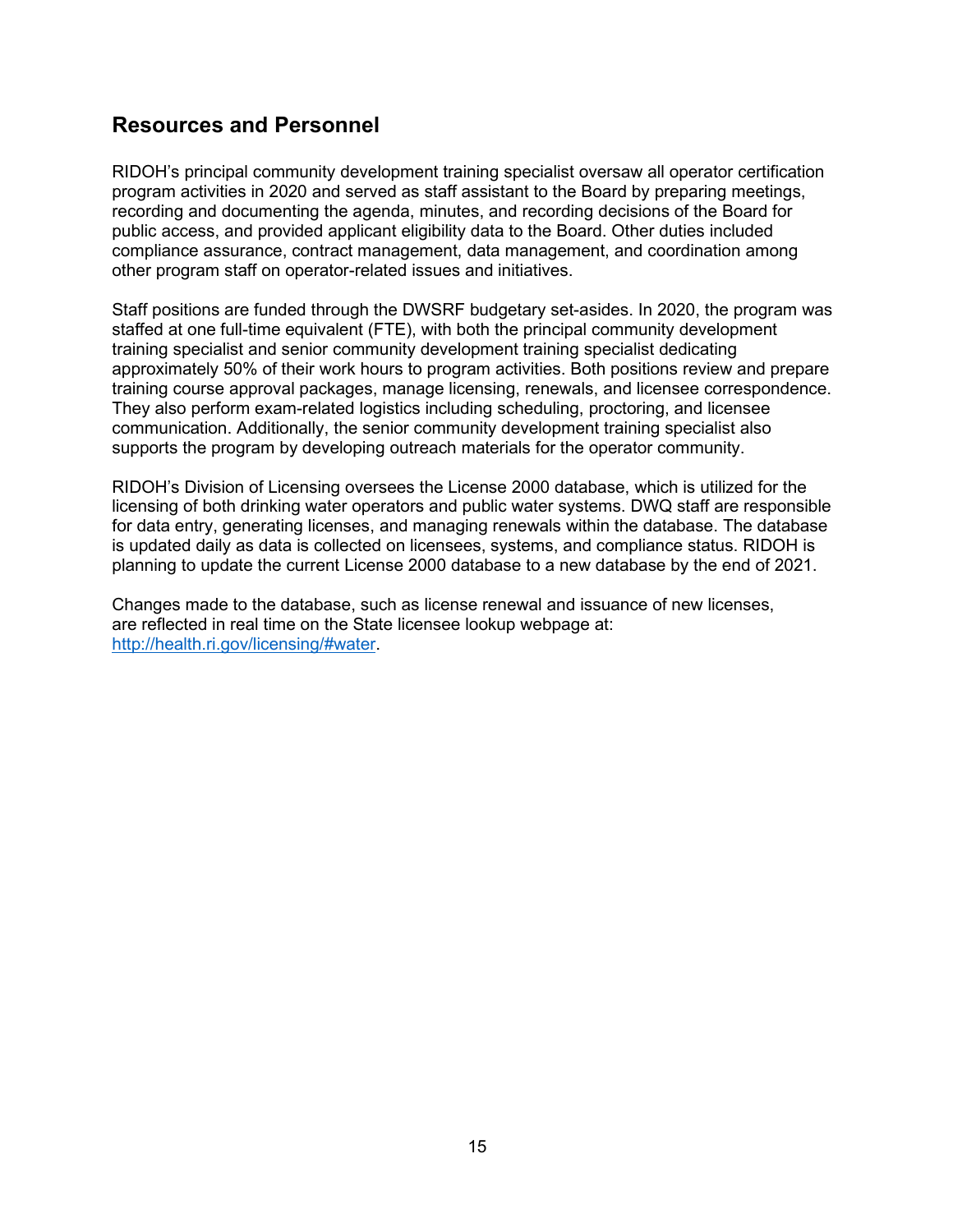#### **Resources and Personnel**

RIDOH's principal community development training specialist oversaw all operator certification program activities in 2020 and served as staff assistant to the Board by preparing meetings, recording and documenting the agenda, minutes, and recording decisions of the Board for public access, and provided applicant eligibility data to the Board. Other duties included compliance assurance, contract management, data management, and coordination among other program staff on operator-related issues and initiatives.

Staff positions are funded through the DWSRF budgetary set-asides. In 2020, the program was staffed at one full-time equivalent (FTE), with both the principal community development training specialist and senior community development training specialist dedicating approximately 50% of their work hours to program activities. Both positions review and prepare training course approval packages, manage licensing, renewals, and licensee correspondence. They also perform exam-related logistics including scheduling, proctoring, and licensee communication. Additionally, the senior community development training specialist also supports the program by developing outreach materials for the operator community.

RIDOH's Division of Licensing oversees the License 2000 database, which is utilized for the licensing of both drinking water operators and public water systems. DWQ staff are responsible for data entry, generating licenses, and managing renewals within the database. The database is updated daily as data is collected on licensees, systems, and compliance status. RIDOH is planning to update the current License 2000 database to a new database by the end of 2021.

Changes made to the database, such as license renewal and issuance of new licenses, are reflected in real time on the State licensee lookup webpage at: [http://health.ri.gov/licensing/#water.](http://health.ri.gov/licensing/#water)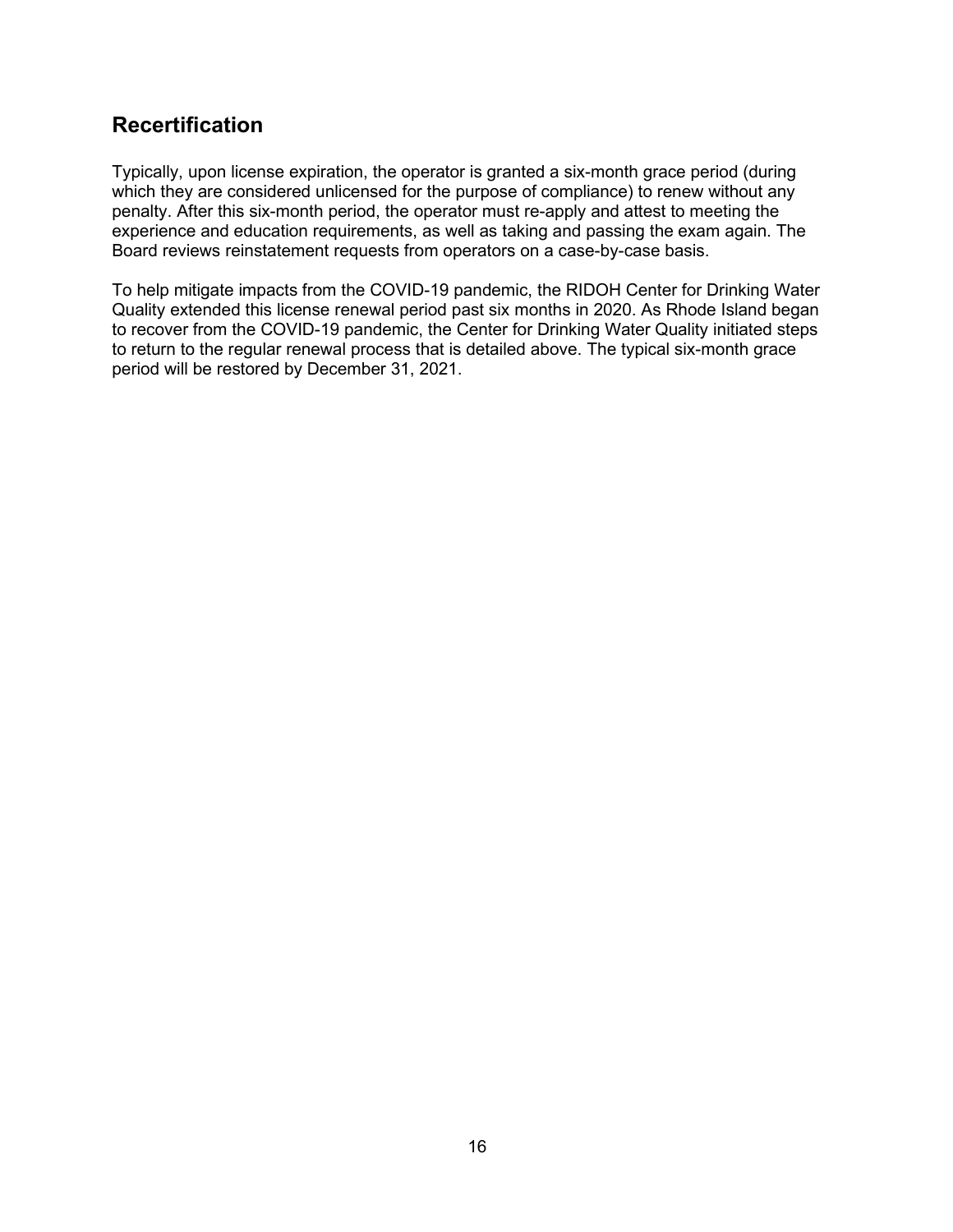#### <span id="page-17-0"></span>**Recertification**

Typically, upon license expiration, the operator is granted a six-month grace period (during which they are considered unlicensed for the purpose of compliance) to renew without any penalty. After this six-month period, the operator must re-apply and attest to meeting the experience and education requirements, as well as taking and passing the exam again. The Board reviews reinstatement requests from operators on a case-by-case basis.

To help mitigate impacts from the COVID-19 pandemic, the RIDOH Center for Drinking Water Quality extended this license renewal period past six months in 2020. As Rhode Island began to recover from the COVID-19 pandemic, the Center for Drinking Water Quality initiated steps to return to the regular renewal process that is detailed above. The typical six-month grace period will be restored by December 31, 2021.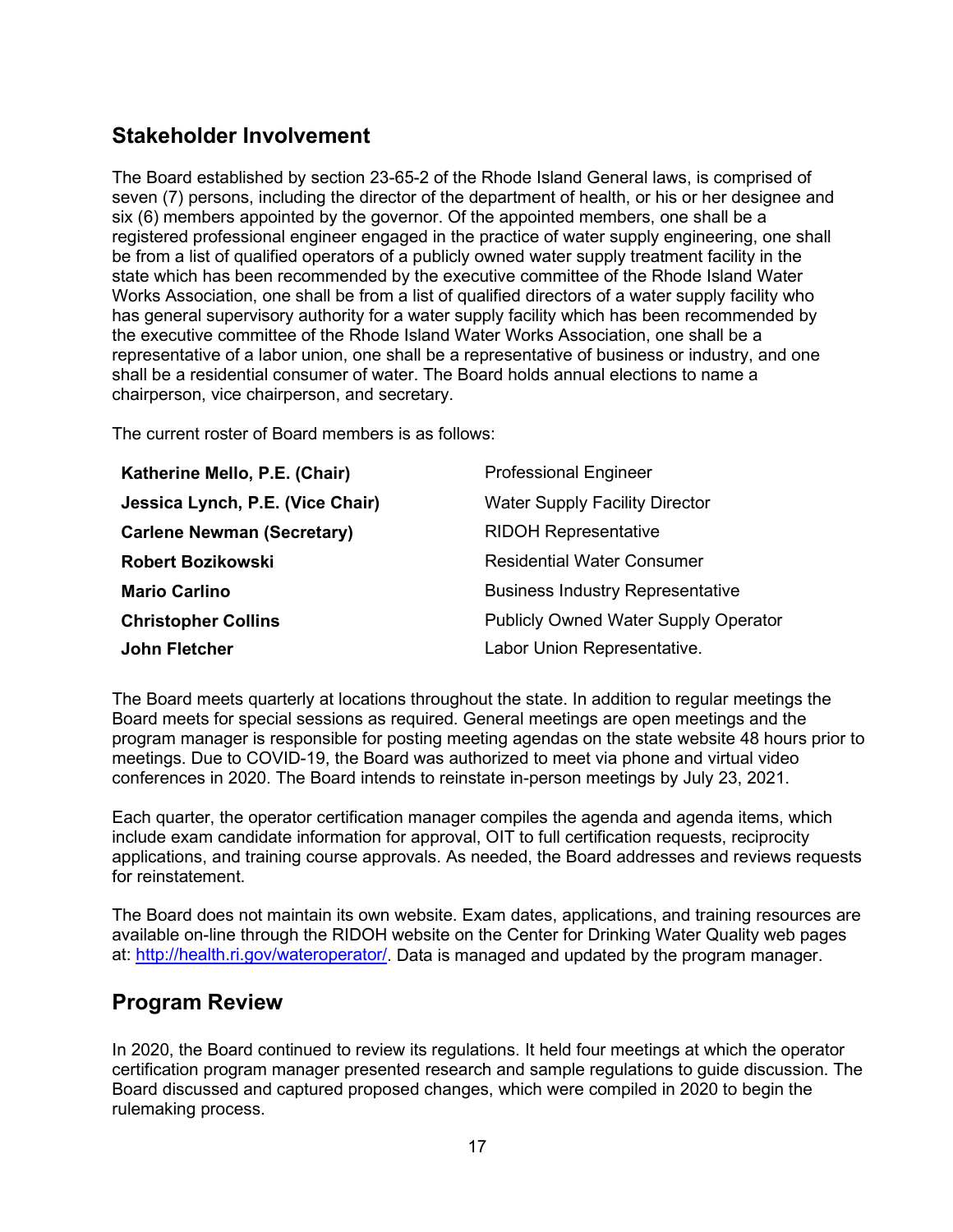#### **Stakeholder Involvement**

The Board established by section 23-65-2 of the Rhode Island General laws, is comprised of seven (7) persons, including the director of the department of health, or his or her designee and six (6) members appointed by the governor. Of the appointed members, one shall be a registered professional engineer engaged in the practice of water supply engineering, one shall be from a list of qualified operators of a publicly owned water supply treatment facility in the state which has been recommended by the executive committee of the Rhode Island Water Works Association, one shall be from a list of qualified directors of a water supply facility who has general supervisory authority for a water supply facility which has been recommended by the executive committee of the Rhode Island Water Works Association, one shall be a representative of a labor union, one shall be a representative of business or industry, and one shall be a residential consumer of water. The Board holds annual elections to name a chairperson, vice chairperson, and secretary.

The current roster of Board members is as follows:

| Katherine Mello, P.E. (Chair)     | <b>Professional Engineer</b>                |
|-----------------------------------|---------------------------------------------|
| Jessica Lynch, P.E. (Vice Chair)  | <b>Water Supply Facility Director</b>       |
| <b>Carlene Newman (Secretary)</b> | <b>RIDOH Representative</b>                 |
| <b>Robert Bozikowski</b>          | <b>Residential Water Consumer</b>           |
| <b>Mario Carlino</b>              | <b>Business Industry Representative</b>     |
| <b>Christopher Collins</b>        | <b>Publicly Owned Water Supply Operator</b> |
| <b>John Fletcher</b>              | Labor Union Representative.                 |

The Board meets quarterly at locations throughout the state. In addition to regular meetings the Board meets for special sessions as required. General meetings are open meetings and the program manager is responsible for posting meeting agendas on the state website 48 hours prior to meetings. Due to COVID-19, the Board was authorized to meet via phone and virtual video conferences in 2020. The Board intends to reinstate in-person meetings by July 23, 2021.

Each quarter, the operator certification manager compiles the agenda and agenda items, which include exam candidate information for approval, OIT to full certification requests, reciprocity applications, and training course approvals. As needed, the Board addresses and reviews requests for reinstatement.

The Board does not maintain its own website. Exam dates, applications, and training resources are available on-line through the RIDOH website on the Center for Drinking Water Quality web pages at: [http://health.ri.gov/wateroperator/.](http://health.ri.gov/wateroperator/) Data is managed and updated by the program manager.

#### **Program Review**

In 2020, the Board continued to review its regulations. It held four meetings at which the operator certification program manager presented research and sample regulations to guide discussion. The Board discussed and captured proposed changes, which were compiled in 2020 to begin the rulemaking process.